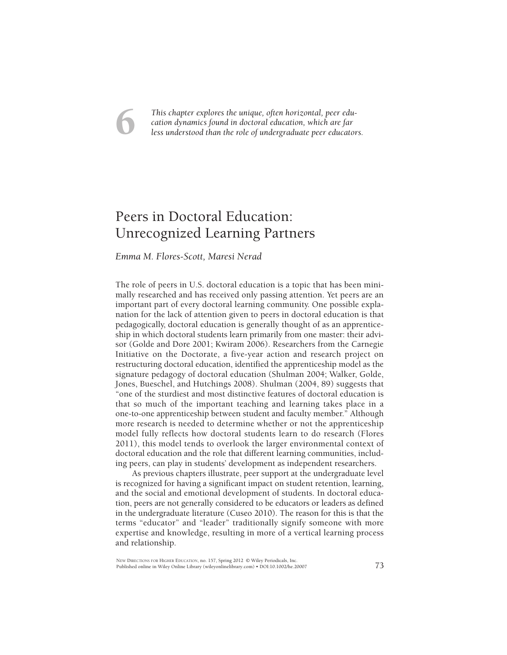*This chapter explores the unique, often horizontal, peer education dynamics found in doctoral education, which are far less understood than the role of undergraduate peer educators.*

# Peers in Doctoral Education: Unrecognized Learning Partners

*Emma M. Flores-Scott, Maresi Nerad*

6

The role of peers in U.S. doctoral education is a topic that has been minimally researched and has received only passing attention. Yet peers are an important part of every doctoral learning community. One possible explanation for the lack of attention given to peers in doctoral education is that pedagogically, doctoral education is generally thought of as an apprenticeship in which doctoral students learn primarily from one master: their advisor (Golde and Dore 2001; Kwiram 2006). Researchers from the Carnegie Initiative on the Doctorate, a five-year action and research project on restructuring doctoral education, identified the apprenticeship model as the signature pedagogy of doctoral education (Shulman 2004; Walker, Golde, Jones, Bueschel, and Hutchings 2008). Shulman (2004, 89) suggests that "one of the sturdiest and most distinctive features of doctoral education is that so much of the important teaching and learning takes place in a one-to-one apprenticeship between student and faculty member." Although more research is needed to determine whether or not the apprenticeship model fully reflects how doctoral students learn to do research (Flores 2011), this model tends to overlook the larger environmental context of doctoral education and the role that different learning communities, including peers, can play in students' development as independent researchers.

As previous chapters illustrate, peer support at the undergraduate level is recognized for having a significant impact on student retention, learning, and the social and emotional development of students. In doctoral education, peers are not generally considered to be educators or leaders as defined in the undergraduate literature (Cuseo 2010). The reason for this is that the terms "educator" and "leader" traditionally signify someone with more expertise and knowledge, resulting in more of a vertical learning process and relationship.

NEW DIRECTIONS FOR HIGHER EDUCATION, no. 157, Spring 2012 © Wiley Periodicals, Inc. Published online in Wiley Online Library (wileyonlinelibrary.com) • DOI:10.1002/he.20007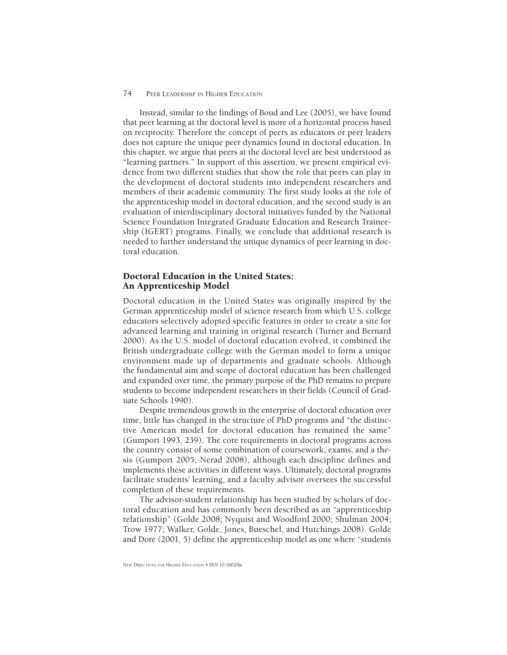Instead, similar to the findings of Boud and Lee (2005), we have found that peer learning at the doctoral level is more of a horizontal process based on reciprocity. Therefore the concept of peers as educators or peer leaders does not capture the unique peer dynamics found in doctoral education. In this chapter, we argue that peers at the doctoral level are best understood as "learning partners." In support of this assertion, we present empirical evidence from two different studies that show the role that peers can play in the development of doctoral students into independent researchers and members of their academic community. The first study looks at the role of the apprenticeship model in doctoral education, and the second study is an evaluation of interdisciplinary doctoral initiatives funded by the National Science Foundation Integrated Graduate Education and Research Traineeship (IGERT) programs. Finally, we conclude that additional research is needed to further understand the unique dynamics of peer learning in doctoral education.

# Doctoral Education in the United States: An Apprenticeship Model

Doctoral education in the United States was originally inspired by the German apprenticeship model of science research from which U.S. college educators selectively adopted specific features in order to create a site for advanced learning and training in original research (Turner and Bernard 2000). As the U.S. model of doctoral education evolved, it combined the British undergraduate college with the German model to form a unique environment made up of departments and graduate schools. Although the fundamental aim and scope of doctoral education has been challenged and expanded over time, the primary purpose of the PhD remains to prepare students to become independent researchers in their fields (Council of Graduate Schools 1990).

Despite tremendous growth in the enterprise of doctoral education over time, little has changed in the structure of PhD programs and "the distinctive American model for doctoral education has remained the same" (Gumport 1993, 239). The core requirements in doctoral programs across the country consist of some combination of coursework, exams, and a thesis (Gumport 2005; Nerad 2008), although each discipline defines and implements these activities in different ways. Ultimately, doctoral programs facilitate students' learning, and a faculty advisor oversees the successful completion of these requirements.

The advisor-student relationship has been studied by scholars of doctoral education and has commonly been described as an "apprenticeship relationship" (Golde 2008; Nyquist and Woodford 2000; Shulman 2004; Trow 1977; Walker, Golde, Jones, Bueschel, and Hutchings 2008). Golde and Dore (2001, 5) define the apprenticeship model as one where "students

NEW DIRECTIONS FOR HIGHER EDUCATION • DOI:10.1002/he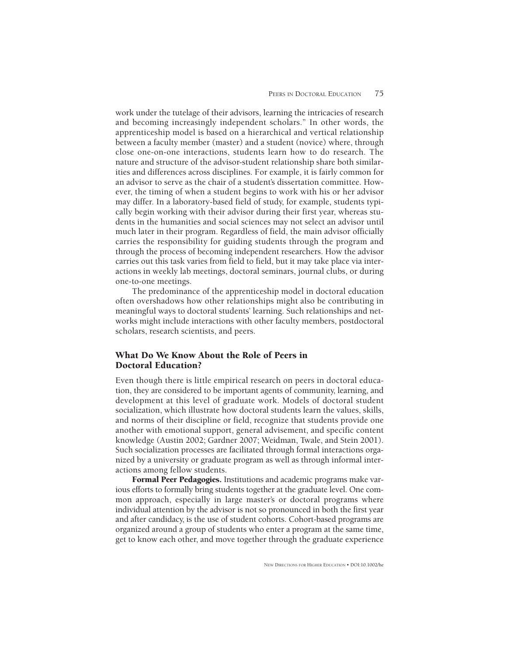work under the tutelage of their advisors, learning the intricacies of research and becoming increasingly independent scholars." In other words, the apprenticeship model is based on a hierarchical and vertical relationship between a faculty member (master) and a student (novice) where, through close one-on-one interactions, students learn how to do research. The nature and structure of the advisor-student relationship share both similarities and differences across disciplines. For example, it is fairly common for an advisor to serve as the chair of a student's dissertation committee. However, the timing of when a student begins to work with his or her advisor may differ. In a laboratory-based field of study, for example, students typically begin working with their advisor during their first year, whereas students in the humanities and social sciences may not select an advisor until much later in their program. Regardless of field, the main advisor officially carries the responsibility for guiding students through the program and through the process of becoming independent researchers. How the advisor carries out this task varies from field to field, but it may take place via interactions in weekly lab meetings, doctoral seminars, journal clubs, or during one-to-one meetings.

The predominance of the apprenticeship model in doctoral education often overshadows how other relationships might also be contributing in meaningful ways to doctoral students' learning. Such relationships and networks might include interactions with other faculty members, postdoctoral scholars, research scientists, and peers.

## What Do We Know About the Role of Peers in Doctoral Education?

Even though there is little empirical research on peers in doctoral education, they are considered to be important agents of community, learning, and development at this level of graduate work. Models of doctoral student socialization, which illustrate how doctoral students learn the values, skills, and norms of their discipline or field, recognize that students provide one another with emotional support, general advisement, and specific content knowledge (Austin 2002; Gardner 2007; Weidman, Twale, and Stein 2001). Such socialization processes are facilitated through formal interactions organized by a university or graduate program as well as through informal interactions among fellow students.

Formal Peer Pedagogies. Institutions and academic programs make various efforts to formally bring students together at the graduate level. One common approach, especially in large master's or doctoral programs where individual attention by the advisor is not so pronounced in both the first year and after candidacy, is the use of student cohorts. Cohort-based programs are organized around a group of students who enter a program at the same time, get to know each other, and move together through the graduate experience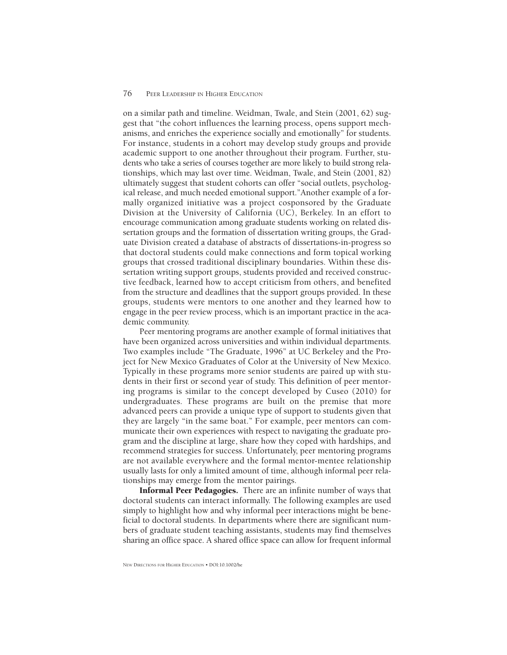on a similar path and timeline. Weidman, Twale, and Stein (2001, 62) suggest that "the cohort influences the learning process, opens support mechanisms, and enriches the experience socially and emotionally" for students. For instance, students in a cohort may develop study groups and provide academic support to one another throughout their program. Further, students who take a series of courses together are more likely to build strong relationships, which may last over time. Weidman, Twale, and Stein (2001, 82) ultimately suggest that student cohorts can offer "social outlets, psychological release, and much needed emotional support."Another example of a formally organized initiative was a project cosponsored by the Graduate Division at the University of California (UC), Berkeley. In an effort to encourage communication among graduate students working on related dissertation groups and the formation of dissertation writing groups, the Graduate Division created a database of abstracts of dissertations-in-progress so that doctoral students could make connections and form topical working groups that crossed traditional disciplinary boundaries. Within these dissertation writing support groups, students provided and received constructive feedback, learned how to accept criticism from others, and benefited from the structure and deadlines that the support groups provided. In these groups, students were mentors to one another and they learned how to engage in the peer review process, which is an important practice in the academic community.

Peer mentoring programs are another example of formal initiatives that have been organized across universities and within individual departments. Two examples include "The Graduate, 1996" at UC Berkeley and the Project for New Mexico Graduates of Color at the University of New Mexico. Typically in these programs more senior students are paired up with students in their first or second year of study. This definition of peer mentoring programs is similar to the concept developed by Cuseo (2010) for undergraduates. These programs are built on the premise that more advanced peers can provide a unique type of support to students given that they are largely "in the same boat." For example, peer mentors can communicate their own experiences with respect to navigating the graduate program and the discipline at large, share how they coped with hardships, and recommend strategies for success. Unfortunately, peer mentoring programs are not available everywhere and the formal mentor-mentee relationship usually lasts for only a limited amount of time, although informal peer relationships may emerge from the mentor pairings.

Informal Peer Pedagogies. There are an infinite number of ways that doctoral students can interact informally. The following examples are used simply to highlight how and why informal peer interactions might be beneficial to doctoral students. In departments where there are significant numbers of graduate student teaching assistants, students may find themselves sharing an office space. A shared office space can allow for frequent informal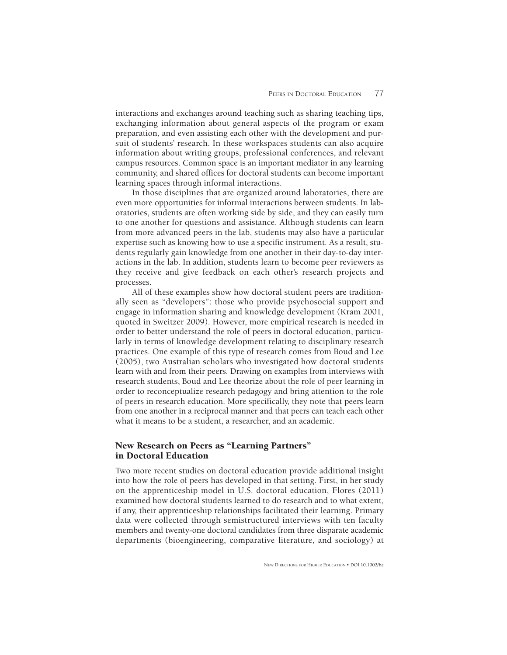interactions and exchanges around teaching such as sharing teaching tips, exchanging information about general aspects of the program or exam preparation, and even assisting each other with the development and pursuit of students' research. In these workspaces students can also acquire information about writing groups, professional conferences, and relevant campus resources. Common space is an important mediator in any learning community, and shared offices for doctoral students can become important learning spaces through informal interactions.

In those disciplines that are organized around laboratories, there are even more opportunities for informal interactions between students. In laboratories, students are often working side by side, and they can easily turn to one another for questions and assistance. Although students can learn from more advanced peers in the lab, students may also have a particular expertise such as knowing how to use a specific instrument. As a result, students regularly gain knowledge from one another in their day-to-day interactions in the lab. In addition, students learn to become peer reviewers as they receive and give feedback on each other's research projects and processes.

All of these examples show how doctoral student peers are traditionally seen as "developers": those who provide psychosocial support and engage in information sharing and knowledge development (Kram 2001, quoted in Sweitzer 2009). However, more empirical research is needed in order to better understand the role of peers in doctoral education, particularly in terms of knowledge development relating to disciplinary research practices. One example of this type of research comes from Boud and Lee (2005), two Australian scholars who investigated how doctoral students learn with and from their peers. Drawing on examples from interviews with research students, Boud and Lee theorize about the role of peer learning in order to reconceptualize research pedagogy and bring attention to the role of peers in research education. More specifically, they note that peers learn from one another in a reciprocal manner and that peers can teach each other what it means to be a student, a researcher, and an academic.

# New Research on Peers as "Learning Partners" in Doctoral Education

Two more recent studies on doctoral education provide additional insight into how the role of peers has developed in that setting. First, in her study on the apprenticeship model in U.S. doctoral education, Flores (2011) examined how doctoral students learned to do research and to what extent, if any, their apprenticeship relationships facilitated their learning. Primary data were collected through semistructured interviews with ten faculty members and twenty-one doctoral candidates from three disparate academic departments (bioengineering, comparative literature, and sociology) at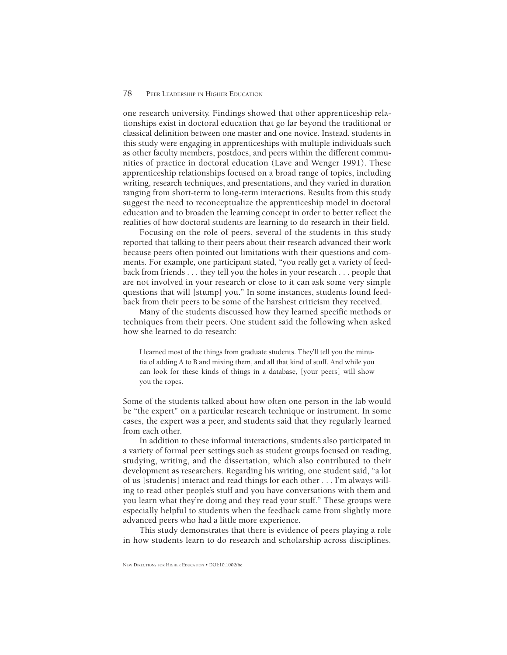one research university. Findings showed that other apprenticeship relationships exist in doctoral education that go far beyond the traditional or classical definition between one master and one novice. Instead, students in this study were engaging in apprenticeships with multiple individuals such as other faculty members, postdocs, and peers within the different communities of practice in doctoral education (Lave and Wenger 1991). These apprenticeship relationships focused on a broad range of topics, including writing, research techniques, and presentations, and they varied in duration ranging from short-term to long-term interactions. Results from this study suggest the need to reconceptualize the apprenticeship model in doctoral education and to broaden the learning concept in order to better reflect the realities of how doctoral students are learning to do research in their field.

Focusing on the role of peers, several of the students in this study reported that talking to their peers about their research advanced their work because peers often pointed out limitations with their questions and comments. For example, one participant stated, "you really get a variety of feedback from friends . . . they tell you the holes in your research . . . people that are not involved in your research or close to it can ask some very simple questions that will [stump] you." In some instances, students found feedback from their peers to be some of the harshest criticism they received.

Many of the students discussed how they learned specific methods or techniques from their peers. One student said the following when asked how she learned to do research:

I learned most of the things from graduate students. They'll tell you the minutia of adding A to B and mixing them, and all that kind of stuff. And while you can look for these kinds of things in a database, [your peers] will show you the ropes.

Some of the students talked about how often one person in the lab would be "the expert" on a particular research technique or instrument. In some cases, the expert was a peer, and students said that they regularly learned from each other.

In addition to these informal interactions, students also participated in a variety of formal peer settings such as student groups focused on reading, studying, writing, and the dissertation, which also contributed to their development as researchers. Regarding his writing, one student said, "a lot of us [students] interact and read things for each other . . . I'm always willing to read other people's stuff and you have conversations with them and you learn what they're doing and they read your stuff." These groups were especially helpful to students when the feedback came from slightly more advanced peers who had a little more experience.

This study demonstrates that there is evidence of peers playing a role in how students learn to do research and scholarship across disciplines.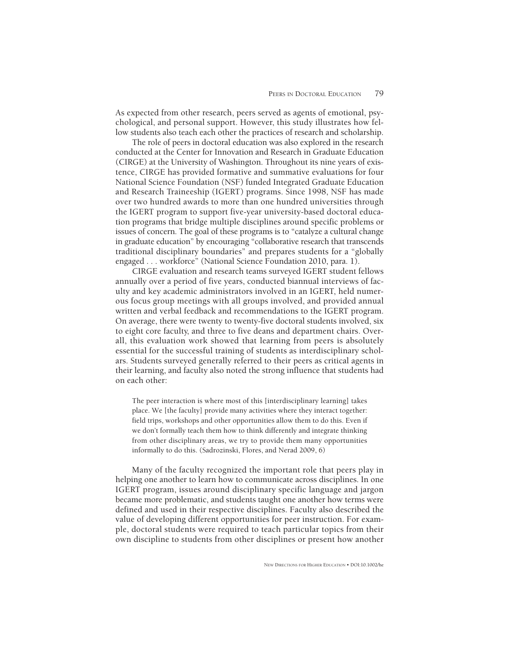As expected from other research, peers served as agents of emotional, psychological, and personal support. However, this study illustrates how fellow students also teach each other the practices of research and scholarship.

The role of peers in doctoral education was also explored in the research conducted at the Center for Innovation and Research in Graduate Education (CIRGE) at the University of Washington. Throughout its nine years of existence, CIRGE has provided formative and summative evaluations for four National Science Foundation (NSF) funded Integrated Graduate Education and Research Traineeship (IGERT) programs. Since 1998, NSF has made over two hundred awards to more than one hundred universities through the IGERT program to support five-year university-based doctoral education programs that bridge multiple disciplines around specific problems or issues of concern. The goal of these programs is to "catalyze a cultural change in graduate education" by encouraging "collaborative research that transcends traditional disciplinary boundaries" and prepares students for a "globally engaged . . . workforce" (National Science Foundation 2010, para. 1).

CIRGE evaluation and research teams surveyed IGERT student fellows annually over a period of five years, conducted biannual interviews of faculty and key academic administrators involved in an IGERT, held numerous focus group meetings with all groups involved, and provided annual written and verbal feedback and recommendations to the IGERT program. On average, there were twenty to twenty-five doctoral students involved, six to eight core faculty, and three to five deans and department chairs. Overall, this evaluation work showed that learning from peers is absolutely essential for the successful training of students as interdisciplinary scholars. Students surveyed generally referred to their peers as critical agents in their learning, and faculty also noted the strong influence that students had on each other:

The peer interaction is where most of this [interdisciplinary learning] takes place. We [the faculty] provide many activities where they interact together: field trips, workshops and other opportunities allow them to do this. Even if we don't formally teach them how to think differently and integrate thinking from other disciplinary areas, we try to provide them many opportunities informally to do this. (Sadrozinski, Flores, and Nerad 2009, 6)

Many of the faculty recognized the important role that peers play in helping one another to learn how to communicate across disciplines. In one IGERT program, issues around disciplinary specific language and jargon became more problematic, and students taught one another how terms were defined and used in their respective disciplines. Faculty also described the value of developing different opportunities for peer instruction. For example, doctoral students were required to teach particular topics from their own discipline to students from other disciplines or present how another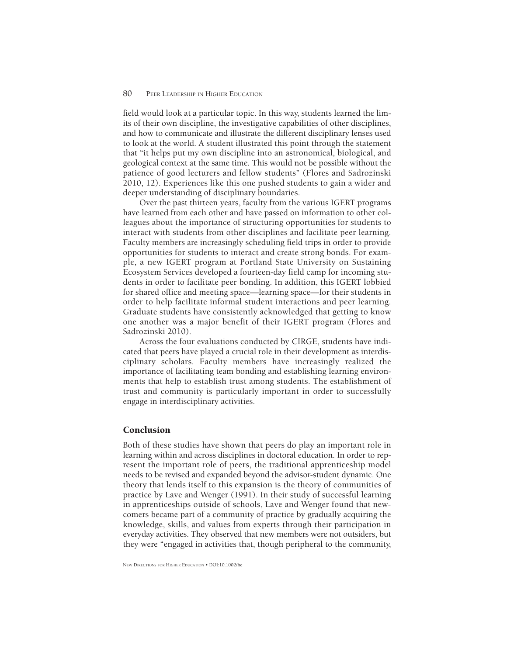field would look at a particular topic. In this way, students learned the limits of their own discipline, the investigative capabilities of other disciplines, and how to communicate and illustrate the different disciplinary lenses used to look at the world. A student illustrated this point through the statement that "it helps put my own discipline into an astronomical, biological, and geological context at the same time. This would not be possible without the patience of good lecturers and fellow students" (Flores and Sadrozinski 2010, 12). Experiences like this one pushed students to gain a wider and deeper understanding of disciplinary boundaries.

Over the past thirteen years, faculty from the various IGERT programs have learned from each other and have passed on information to other colleagues about the importance of structuring opportunities for students to interact with students from other disciplines and facilitate peer learning. Faculty members are increasingly scheduling field trips in order to provide opportunities for students to interact and create strong bonds. For example, a new IGERT program at Portland State University on Sustaining Ecosystem Services developed a fourteen-day field camp for incoming students in order to facilitate peer bonding. In addition, this IGERT lobbied for shared office and meeting space—learning space—for their students in order to help facilitate informal student interactions and peer learning. Graduate students have consistently acknowledged that getting to know one another was a major benefit of their IGERT program *(*Flores and Sadrozinski 2010).

Across the four evaluations conducted by CIRGE, students have indicated that peers have played a crucial role in their development as interdisciplinary scholars. Faculty members have increasingly realized the importance of facilitating team bonding and establishing learning environments that help to establish trust among students. The establishment of trust and community is particularly important in order to successfully engage in interdisciplinary activities.

### Conclusion

Both of these studies have shown that peers do play an important role in learning within and across disciplines in doctoral education. In order to represent the important role of peers, the traditional apprenticeship model needs to be revised and expanded beyond the advisor-student dynamic. One theory that lends itself to this expansion is the theory of communities of practice by Lave and Wenger (1991). In their study of successful learning in apprenticeships outside of schools, Lave and Wenger found that newcomers became part of a community of practice by gradually acquiring the knowledge, skills, and values from experts through their participation in everyday activities. They observed that new members were not outsiders, but they were "engaged in activities that, though peripheral to the community,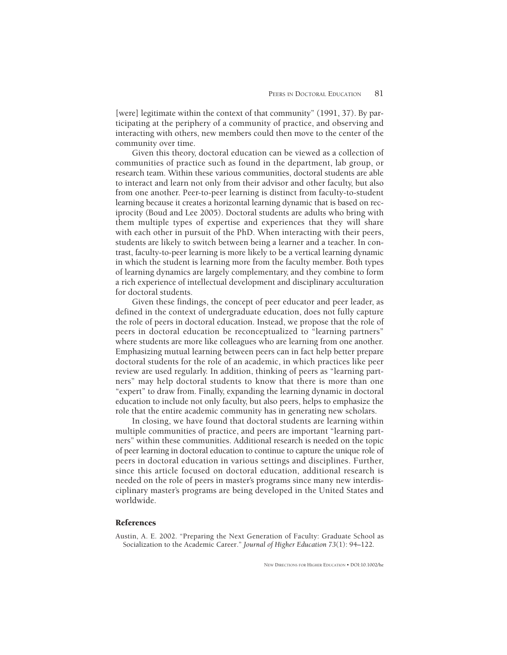[were] legitimate within the context of that community" (1991, 37). By participating at the periphery of a community of practice, and observing and interacting with others, new members could then move to the center of the community over time.

Given this theory, doctoral education can be viewed as a collection of communities of practice such as found in the department, lab group, or research team. Within these various communities, doctoral students are able to interact and learn not only from their advisor and other faculty, but also from one another. Peer-to-peer learning is distinct from faculty-to-student learning because it creates a horizontal learning dynamic that is based on reciprocity (Boud and Lee 2005). Doctoral students are adults who bring with them multiple types of expertise and experiences that they will share with each other in pursuit of the PhD. When interacting with their peers, students are likely to switch between being a learner and a teacher. In contrast, faculty-to-peer learning is more likely to be a vertical learning dynamic in which the student is learning more from the faculty member. Both types of learning dynamics are largely complementary, and they combine to form a rich experience of intellectual development and disciplinary acculturation for doctoral students.

Given these findings, the concept of peer educator and peer leader, as defined in the context of undergraduate education, does not fully capture the role of peers in doctoral education. Instead, we propose that the role of peers in doctoral education be reconceptualized to "learning partners" where students are more like colleagues who are learning from one another. Emphasizing mutual learning between peers can in fact help better prepare doctoral students for the role of an academic, in which practices like peer review are used regularly. In addition, thinking of peers as "learning partners" may help doctoral students to know that there is more than one "expert" to draw from. Finally, expanding the learning dynamic in doctoral education to include not only faculty, but also peers, helps to emphasize the role that the entire academic community has in generating new scholars.

In closing, we have found that doctoral students are learning within multiple communities of practice, and peers are important "learning partners" within these communities. Additional research is needed on the topic of peer learning in doctoral education to continue to capture the unique role of peers in doctoral education in various settings and disciplines. Further, since this article focused on doctoral education, additional research is needed on the role of peers in master's programs since many new interdisciplinary master's programs are being developed in the United States and worldwide.

## References

Austin, A. E. 2002. "Preparing the Next Generation of Faculty: Graduate School as Socialization to the Academic Career." *Journal of Higher Education 73*(1): 94–122.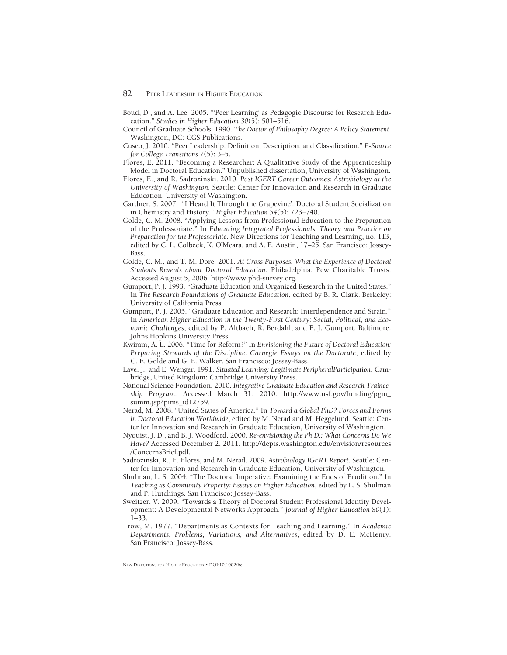- Boud, D., and A. Lee. 2005. "'Peer Learning' as Pedagogic Discourse for Research Education." *Studies in Higher Education 30*(5): 501–516.
- Council of Graduate Schools. 1990. *The Doctor of Philosophy Degree: A Policy Statement*. Washington, DC: CGS Publications.
- Cuseo, J. 2010. "Peer Leadership: Definition, Description, and Classification." *E-Source for College Transitions 7*(5): 3–5.
- Flores, E. 2011. "Becoming a Researcher: A Qualitative Study of the Apprenticeship Model in Doctoral Education." Unpublished dissertation, University of Washington.
- Flores, E., and R. Sadrozinski. 2010. *Post IGERT Career Outcomes: Astrobiology at the University of Washington.* Seattle: Center for Innovation and Research in Graduate Education, University of Washington.
- Gardner, S. 2007. "'I Heard It Through the Grapevine': Doctoral Student Socialization in Chemistry and History." *Higher Education 54*(5): 723–740.
- Golde, C. M. 2008. "Applying Lessons from Professional Education to the Preparation of the Professoriate." In *Educating Integrated Professionals: Theory and Practice on Preparation for the Professoriate*. New Directions for Teaching and Learning, no. 113, edited by C. L. Colbeck, K. O'Meara, and A. E. Austin, 17–25. San Francisco: Jossey-Bass.
- Golde, C. M., and T. M. Dore. 2001. *At Cross Purposes: What the Experience of Doctoral Students Reveals about Doctoral Education.* Philadelphia: Pew Charitable Trusts. Accessed August 5, 2006. http://www.phd-survey.org.
- Gumport, P. J. 1993. "Graduate Education and Organized Research in the United States." In *The Research Foundations of Graduate Education*, edited by B. R. Clark. Berkeley: University of California Press.
- Gumport, P. J. 2005. "Graduate Education and Research: Interdependence and Strain." In *American Higher Education in the Twenty-First Century: Social, Political, and Economic Challenges*, edited by P. Altbach, R. Berdahl, and P. J. Gumport. Baltimore: Johns Hopkins University Press.
- Kwiram, A. L. 2006. "Time for Reform?" In *Envisioning the Future of Doctoral Education: Preparing Stewards of the Discipline. Carnegie Essays on the Doctorate*, edited by C. E. Golde and G. E. Walker. San Francisco: Jossey-Bass.
- Lave, J., and E. Wenger. 1991. *Situated Learning: Legitimate PeripheralParticipation*. Cambridge, United Kingdom: Cambridge University Press.
- National Science Foundation. 2010. *Integrative Graduate Education and Research Traineeship Program*. Accessed March 31, 2010. http://www.nsf.gov/funding/pgm\_ summ.jsp?pims\_id12759.
- Nerad, M. 2008. "United States of America." In *Toward a Global PhD? Forces and Forms in Doctoral Education Worldwide*, edited by M. Nerad and M. Heggelund. Seattle: Center for Innovation and Research in Graduate Education, University of Washington.
- Nyquist, J. D., and B. J. Woodford. 2000. *Re-envisioning the Ph.D.: What Concerns Do We Have?* Accessed December 2, 2011. http://depts.washington.edu/envision/resources /ConcernsBrief.pdf.
- Sadrozinski, R., E. Flores, and M. Nerad. 2009. *Astrobiology IGERT Report*. Seattle: Center for Innovation and Research in Graduate Education, University of Washington.
- Shulman, L. S. 2004. "The Doctoral Imperative: Examining the Ends of Erudition." In *Teaching as Community Property: Essays on Higher Education*, edited by L. S. Shulman and P. Hutchings. San Francisco: Jossey-Bass.
- Sweitzer, V. 2009. "Towards a Theory of Doctoral Student Professional Identity Development: A Developmental Networks Approach." *Journal of Higher Education 80*(1): 1–33.
- Trow, M. 1977. "Departments as Contexts for Teaching and Learning." In *Academic Departments: Problems, Variations, and Alternatives*, edited by D. E. McHenry. San Francisco: Jossey-Bass.